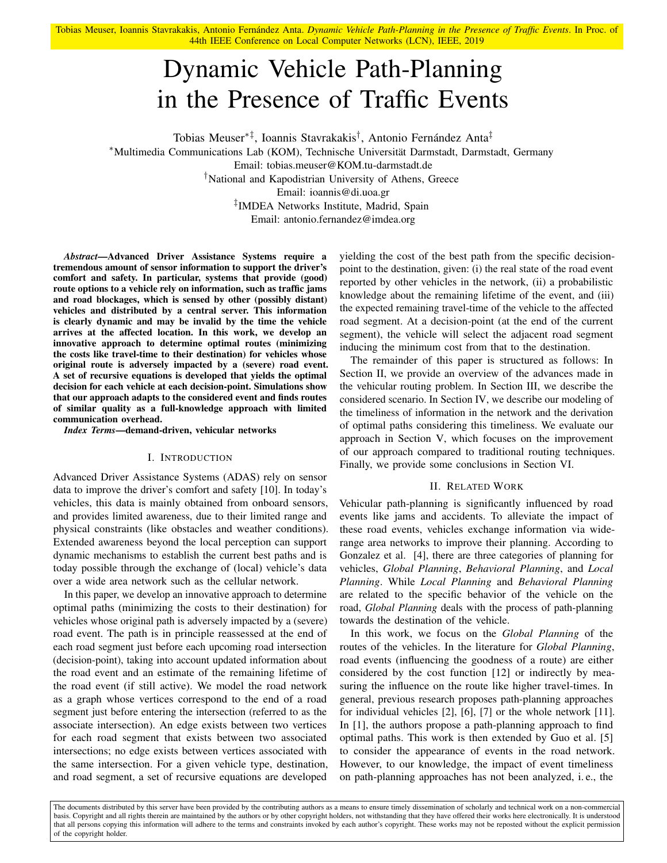Tobias Meuser, Ioannis Stavrakakis, Antonio Fernández Anta. *Dynamic Vehicle Path-Planning in the Presence of Traffic Events*. In Proc. of 44th IEEE Conference on Local Computer Networks (LCN), IEEE, 2019

# Dynamic Vehicle Path-Planning in the Presence of Traffic Events

Tobias Meuser∗‡, Ioannis Stavrakakis† , Antonio Fernández Anta‡ <sup>∗</sup>Multimedia Communications Lab (KOM), Technische Universität Darmstadt, Darmstadt, Germany Email: tobias.meuser@KOM.tu-darmstadt.de †National and Kapodistrian University of Athens, Greece Email: ioannis@di.uoa.gr ‡ IMDEA Networks Institute, Madrid, Spain Email: antonio.fernandez@imdea.org

*Abstract*—Advanced Driver Assistance Systems require a tremendous amount of sensor information to support the driver's comfort and safety. In particular, systems that provide (good) route options to a vehicle rely on information, such as traffic jams and road blockages, which is sensed by other (possibly distant) vehicles and distributed by a central server. This information is clearly dynamic and may be invalid by the time the vehicle arrives at the affected location. In this work, we develop an innovative approach to determine optimal routes (minimizing the costs like travel-time to their destination) for vehicles whose original route is adversely impacted by a (severe) road event. A set of recursive equations is developed that yields the optimal decision for each vehicle at each decision-point. Simulations show that our approach adapts to the considered event and finds routes of similar quality as a full-knowledge approach with limited communication overhead.

*Index Terms*—demand-driven, vehicular networks

## I. INTRODUCTION

Advanced Driver Assistance Systems (ADAS) rely on sensor data to improve the driver's comfort and safety [10]. In today's vehicles, this data is mainly obtained from onboard sensors, and provides limited awareness, due to their limited range and physical constraints (like obstacles and weather conditions). Extended awareness beyond the local perception can support dynamic mechanisms to establish the current best paths and is today possible through the exchange of (local) vehicle's data over a wide area network such as the cellular network.

In this paper, we develop an innovative approach to determine optimal paths (minimizing the costs to their destination) for vehicles whose original path is adversely impacted by a (severe) road event. The path is in principle reassessed at the end of each road segment just before each upcoming road intersection (decision-point), taking into account updated information about the road event and an estimate of the remaining lifetime of the road event (if still active). We model the road network as a graph whose vertices correspond to the end of a road segment just before entering the intersection (referred to as the associate intersection). An edge exists between two vertices for each road segment that exists between two associated intersections; no edge exists between vertices associated with the same intersection. For a given vehicle type, destination, and road segment, a set of recursive equations are developed

yielding the cost of the best path from the specific decisionpoint to the destination, given: (i) the real state of the road event reported by other vehicles in the network, (ii) a probabilistic knowledge about the remaining lifetime of the event, and (iii) the expected remaining travel-time of the vehicle to the affected road segment. At a decision-point (at the end of the current segment), the vehicle will select the adjacent road segment inducing the minimum cost from that to the destination.

The remainder of this paper is structured as follows: In Section II, we provide an overview of the advances made in the vehicular routing problem. In Section III, we describe the considered scenario. In Section IV, we describe our modeling of the timeliness of information in the network and the derivation of optimal paths considering this timeliness. We evaluate our approach in Section V, which focuses on the improvement of our approach compared to traditional routing techniques. Finally, we provide some conclusions in Section VI.

# II. RELATED WORK

Vehicular path-planning is significantly influenced by road events like jams and accidents. To alleviate the impact of these road events, vehicles exchange information via widerange area networks to improve their planning. According to Gonzalez et al. [4], there are three categories of planning for vehicles, *Global Planning*, *Behavioral Planning*, and *Local Planning*. While *Local Planning* and *Behavioral Planning* are related to the specific behavior of the vehicle on the road, *Global Planning* deals with the process of path-planning towards the destination of the vehicle.

In this work, we focus on the *Global Planning* of the routes of the vehicles. In the literature for *Global Planning*, road events (influencing the goodness of a route) are either considered by the cost function [12] or indirectly by measuring the influence on the route like higher travel-times. In general, previous research proposes path-planning approaches for individual vehicles [2], [6], [7] or the whole network [11]. In [1], the authors propose a path-planning approach to find optimal paths. This work is then extended by Guo et al. [5] to consider the appearance of events in the road network. However, to our knowledge, the impact of event timeliness on path-planning approaches has not been analyzed, i. e., the

The documents distributed by this server have been provided by the contributing authors as a means to ensure timely dissemination of scholarly and technical work on a non-commercial basis. Copyright and all rights therein are maintained by the authors or by other copyright holders, not withstanding that they have offered their works here electronically. It is understood that all persons copying this information will adhere to the terms and constraints invoked by each author's copyright. These works may not be reposted without the explicit permission of the copyright holder.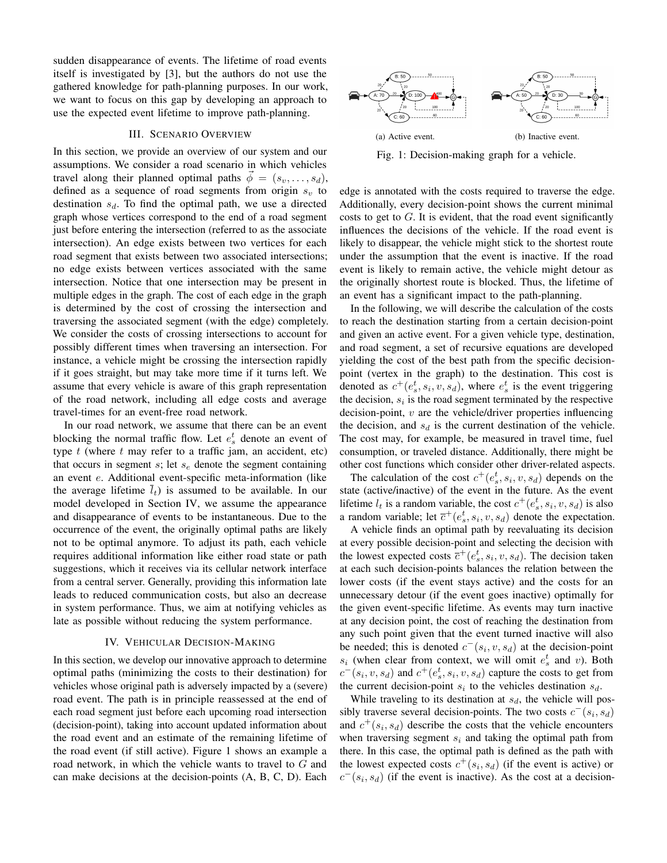sudden disappearance of events. The lifetime of road events itself is investigated by [3], but the authors do not use the gathered knowledge for path-planning purposes. In our work, we want to focus on this gap by developing an approach to use the expected event lifetime to improve path-planning.

# III. SCENARIO OVERVIEW

In this section, we provide an overview of our system and our assumptions. We consider a road scenario in which vehicles travel along their planned optimal paths  $\phi = (s_v, \ldots, s_d)$ , defined as a sequence of road segments from origin  $s_v$  to destination  $s_d$ . To find the optimal path, we use a directed graph whose vertices correspond to the end of a road segment just before entering the intersection (referred to as the associate intersection). An edge exists between two vertices for each road segment that exists between two associated intersections; no edge exists between vertices associated with the same intersection. Notice that one intersection may be present in multiple edges in the graph. The cost of each edge in the graph is determined by the cost of crossing the intersection and traversing the associated segment (with the edge) completely. We consider the costs of crossing intersections to account for possibly different times when traversing an intersection. For instance, a vehicle might be crossing the intersection rapidly if it goes straight, but may take more time if it turns left. We assume that every vehicle is aware of this graph representation of the road network, including all edge costs and average travel-times for an event-free road network.

In our road network, we assume that there can be an event blocking the normal traffic flow. Let  $e_s^t$  denote an event of type  $t$  (where  $t$  may refer to a traffic jam, an accident, etc) that occurs in segment  $s$ ; let  $s_e$  denote the segment containing an event e. Additional event-specific meta-information (like the average lifetime  $\bar{l}_t$ ) is assumed to be available. In our model developed in Section IV, we assume the appearance and disappearance of events to be instantaneous. Due to the occurrence of the event, the originally optimal paths are likely not to be optimal anymore. To adjust its path, each vehicle requires additional information like either road state or path suggestions, which it receives via its cellular network interface from a central server. Generally, providing this information late leads to reduced communication costs, but also an decrease in system performance. Thus, we aim at notifying vehicles as late as possible without reducing the system performance.

## IV. VEHICULAR DECISION-MAKING

In this section, we develop our innovative approach to determine optimal paths (minimizing the costs to their destination) for vehicles whose original path is adversely impacted by a (severe) road event. The path is in principle reassessed at the end of each road segment just before each upcoming road intersection (decision-point), taking into account updated information about the road event and an estimate of the remaining lifetime of the road event (if still active). Figure 1 shows an example a road network, in which the vehicle wants to travel to G and can make decisions at the decision-points (A, B, C, D). Each



Fig. 1: Decision-making graph for a vehicle.

edge is annotated with the costs required to traverse the edge. Additionally, every decision-point shows the current minimal costs to get to  $G$ . It is evident, that the road event significantly influences the decisions of the vehicle. If the road event is likely to disappear, the vehicle might stick to the shortest route under the assumption that the event is inactive. If the road event is likely to remain active, the vehicle might detour as the originally shortest route is blocked. Thus, the lifetime of an event has a significant impact to the path-planning.

In the following, we will describe the calculation of the costs to reach the destination starting from a certain decision-point and given an active event. For a given vehicle type, destination, and road segment, a set of recursive equations are developed yielding the cost of the best path from the specific decisionpoint (vertex in the graph) to the destination. This cost is denoted as  $c^+(e_s^t, s_i, v, s_d)$ , where  $e_s^t$  is the event triggering the decision,  $s_i$  is the road segment terminated by the respective decision-point,  $v$  are the vehicle/driver properties influencing the decision, and  $s_d$  is the current destination of the vehicle. The cost may, for example, be measured in travel time, fuel consumption, or traveled distance. Additionally, there might be other cost functions which consider other driver-related aspects.

The calculation of the cost  $c^+(e_s^t, s_i, v, s_d)$  depends on the state (active/inactive) of the event in the future. As the event lifetime  $l_t$  is a random variable, the cost  $c^+(e_s^t, s_i, v, s_d)$  is also a random variable; let  $\overline{c}^+(e_s^t, s_i, v, s_d)$  denote the expectation.

A vehicle finds an optimal path by reevaluating its decision at every possible decision-point and selecting the decision with the lowest expected costs  $\bar{c}^+(e_s^t, s_i, v, s_d)$ . The decision taken at each such decision-points balances the relation between the lower costs (if the event stays active) and the costs for an unnecessary detour (if the event goes inactive) optimally for the given event-specific lifetime. As events may turn inactive at any decision point, the cost of reaching the destination from any such point given that the event turned inactive will also be needed; this is denoted  $c^-(s_i, v, s_d)$  at the decision-point  $s_i$  (when clear from context, we will omit  $e_s^t$  and v). Both  $c^-(s_i, v, s_d)$  and  $c^+(e_s^t, s_i, v, s_d)$  capture the costs to get from the current decision-point  $s_i$  to the vehicles destination  $s_d$ .

While traveling to its destination at  $s_d$ , the vehicle will possibly traverse several decision-points. The two costs  $c^-(s_i, s_d)$ and  $c^+(s_i, s_d)$  describe the costs that the vehicle encounters when traversing segment  $s_i$  and taking the optimal path from there. In this case, the optimal path is defined as the path with the lowest expected costs  $c^+(s_i, s_d)$  (if the event is active) or  $c^-(s_i, s_d)$  (if the event is inactive). As the cost at a decision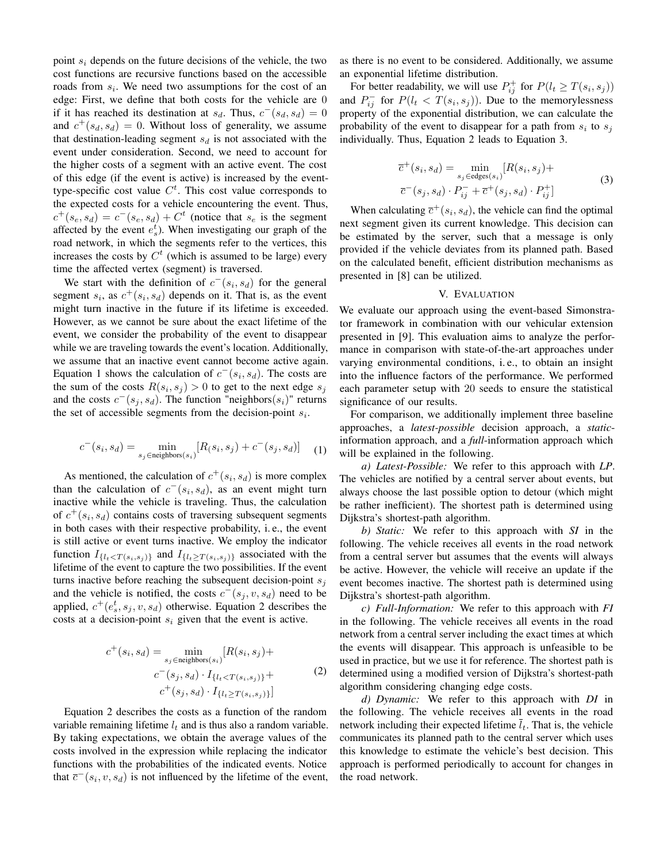point  $s_i$  depends on the future decisions of the vehicle, the two cost functions are recursive functions based on the accessible roads from  $s_i$ . We need two assumptions for the cost of an edge: First, we define that both costs for the vehicle are 0 if it has reached its destination at  $s_d$ . Thus,  $c^-(s_d, s_d) = 0$ and  $c^+(s_d, s_d) = 0$ . Without loss of generality, we assume that destination-leading segment  $s_d$  is not associated with the event under consideration. Second, we need to account for the higher costs of a segment with an active event. The cost of this edge (if the event is active) is increased by the eventtype-specific cost value  $C<sup>t</sup>$ . This cost value corresponds to the expected costs for a vehicle encountering the event. Thus,  $c^+(s_e, s_d) = c^-(s_e, s_d) + C^t$  (notice that  $s_e$  is the segment affected by the event  $e_s^t$ ). When investigating our graph of the road network, in which the segments refer to the vertices, this increases the costs by  $C<sup>t</sup>$  (which is assumed to be large) every time the affected vertex (segment) is traversed.

We start with the definition of  $c^-(s_i, s_d)$  for the general segment  $s_i$ , as  $c^+(s_i, s_d)$  depends on it. That is, as the event might turn inactive in the future if its lifetime is exceeded. However, as we cannot be sure about the exact lifetime of the event, we consider the probability of the event to disappear while we are traveling towards the event's location. Additionally, we assume that an inactive event cannot become active again. Equation 1 shows the calculation of  $c^-(s_i, s_d)$ . The costs are the sum of the costs  $R(s_i, s_j) > 0$  to get to the next edge  $s_j$ and the costs  $c^-(s_j, s_d)$ . The function "neighbors $(s_i)$ " returns the set of accessible segments from the decision-point  $s_i$ .

$$
c^{-}(s_i, s_d) = \min_{s_j \in \text{neighbors}(s_i)} [R(s_i, s_j) + c^{-}(s_j, s_d)] \quad (1)
$$

As mentioned, the calculation of  $c^+(s_i, s_d)$  is more complex than the calculation of  $c^-(s_i, s_d)$ , as an event might turn inactive while the vehicle is traveling. Thus, the calculation of  $c^+(s_i, s_d)$  contains costs of traversing subsequent segments in both cases with their respective probability, i. e., the event is still active or event turns inactive. We employ the indicator function  $I_{\{l_t < T(s_i, s_j)\}}$  and  $I_{\{l_t \geq T(s_i, s_j)\}}$  associated with the lifetime of the event to capture the two possibilities. If the event turns inactive before reaching the subsequent decision-point  $s_i$ and the vehicle is notified, the costs  $c^-(s_j, v, s_d)$  need to be applied,  $c^+(e_s^t, s_j, v, s_d)$  otherwise. Equation 2 describes the costs at a decision-point  $s_i$  given that the event is active.

$$
c^{+}(s_{i}, s_{d}) = \min_{s_{j} \in \text{neighbors}(s_{i})} [R(s_{i}, s_{j}) +
$$

$$
c^{-}(s_{j}, s_{d}) \cdot I_{\{l_{t} < T(s_{i}, s_{j})\}} +
$$

$$
c^{+}(s_{j}, s_{d}) \cdot I_{\{l_{t} \geq T(s_{i}, s_{j})\}}]
$$
(2)

Equation 2 describes the costs as a function of the random variable remaining lifetime  $l_t$  and is thus also a random variable. By taking expectations, we obtain the average values of the costs involved in the expression while replacing the indicator functions with the probabilities of the indicated events. Notice that  $\overline{c}^-(s_i, v, s_d)$  is not influenced by the lifetime of the event, as there is no event to be considered. Additionally, we assume an exponential lifetime distribution.

For better readability, we will use  $P_{ij}^+$  for  $P(l_t \geq T(s_i, s_j))$ and  $P_{ij}^-$  for  $P(l_t < T(s_i, s_j))$ . Due to the memorylessness property of the exponential distribution, we can calculate the probability of the event to disappear for a path from  $s_i$  to  $s_j$ individually. Thus, Equation 2 leads to Equation 3.

$$
\overline{c}^+(s_i, s_d) = \min_{s_j \in \text{edges}(s_i)} [R(s_i, s_j) +
$$
  

$$
\overline{c}^-(s_j, s_d) \cdot P_{ij}^- + \overline{c}^+(s_j, s_d) \cdot P_{ij}^+ ]
$$
 (3)

When calculating  $\overline{c}^+(s_i, s_d)$ , the vehicle can find the optimal next segment given its current knowledge. This decision can be estimated by the server, such that a message is only provided if the vehicle deviates from its planned path. Based on the calculated benefit, efficient distribution mechanisms as presented in [8] can be utilized.

# V. EVALUATION

We evaluate our approach using the event-based Simonstrator framework in combination with our vehicular extension presented in [9]. This evaluation aims to analyze the performance in comparison with state-of-the-art approaches under varying environmental conditions, i. e., to obtain an insight into the influence factors of the performance. We performed each parameter setup with 20 seeds to ensure the statistical significance of our results.

For comparison, we additionally implement three baseline approaches, a *latest-possible* decision approach, a *static*information approach, and a *full*-information approach which will be explained in the following.

*a) Latest-Possible:* We refer to this approach with *LP*. The vehicles are notified by a central server about events, but always choose the last possible option to detour (which might be rather inefficient). The shortest path is determined using Dijkstra's shortest-path algorithm.

*b) Static:* We refer to this approach with *SI* in the following. The vehicle receives all events in the road network from a central server but assumes that the events will always be active. However, the vehicle will receive an update if the event becomes inactive. The shortest path is determined using Dijkstra's shortest-path algorithm.

*c) Full-Information:* We refer to this approach with *FI* in the following. The vehicle receives all events in the road network from a central server including the exact times at which the events will disappear. This approach is unfeasible to be used in practice, but we use it for reference. The shortest path is determined using a modified version of Dijkstra's shortest-path algorithm considering changing edge costs.

*d) Dynamic:* We refer to this approach with *DI* in the following. The vehicle receives all events in the road network including their expected lifetime  $\overline{l}_t$ . That is, the vehicle communicates its planned path to the central server which uses this knowledge to estimate the vehicle's best decision. This approach is performed periodically to account for changes in the road network.